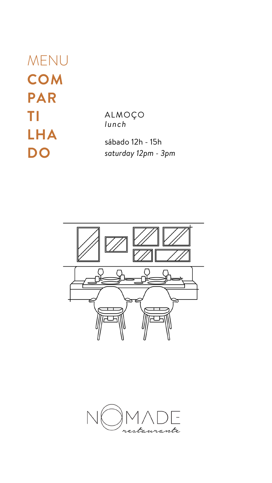MENU **COM PAR TI LHA DO**

ALMOÇO *lunch*

sábado 12h - 15h *saturday 12pm - 3pm*



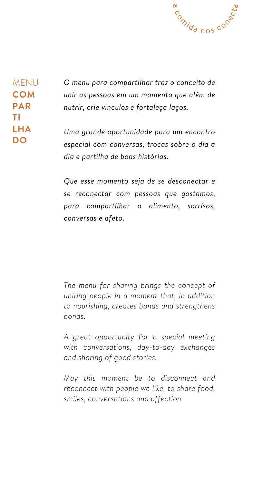

MENU **COM PAR TI LHA DO**

*O menu para compartilhar traz o conceito de unir as pessoas em um momento que além de nutrir, crie vínculos e fortaleça laços.*

*Uma grande oportunidade para um encontro especial com conversas, trocas sobre o dia a dia e partilha de boas histórias.*

*Que esse momento seja de se desconectar e se reconectar com pessoas que gostamos, para compartilhar o alimento, sorrisos, conversas e afeto.*

*The menu for sharing brings the concept of uniting people in a moment that, in addition*

*to nourishing, creates bonds and strengthens bonds.*

*A great opportunity for a special meeting with conversations, day-to-day exchanges and sharing of good stories.*

*May this moment be to disconnect and reconnect with people we like, to share food, smiles, conversations and affection.*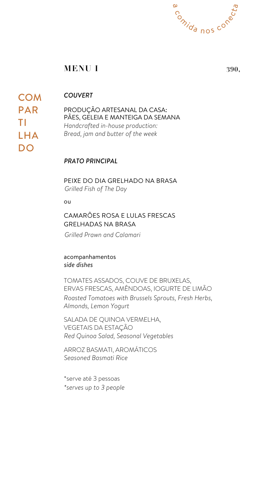ou

CAMARÕES ROSA E LULAS FRESCAS GRELHADAS NA BRASA

**COM** PAR TI LHA DO

> PEIXE DO DIA GRELHADO NA BRASA *Grilled Fish of The Day*

acompanhamentos *side dishes*



TOMATES ASSADOS, COUVE DE BRUXELAS, ERVAS FRESCAS, AMÊNDOAS, IOGURTE DE LIMÃO *Roasted Tomatoes with Brussels Sprouts, Fresh Herbs,*

SALADA DE QUINOA VERMELHA, VEGETAIS DA ESTAÇÃO *Red Quinoa Salad, Seasonal Vegetables*

*Grilled Prawn and Calamari*

ARROZ BASMATI, AROMÁTICOS *Seasoned Basmati Rice*

\*serve até 3 pessoas *\*serves up to 3 people*

*Almonds, Lemon Yogurt*

PRODUÇÃO ARTESANAL DA CASA: PÃES, GELEIA E MANTEIGA DA SEMANA *Handcrafted in-house production: Bread, jam and butter of the week*

*COUVERT*

## **MENU I 390,**

*PRATO PRINCIPAL*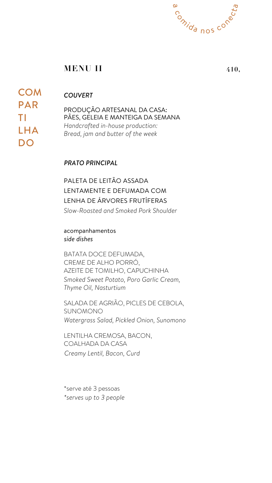# **COM** PAR TI LHA DO

PALETA DE LEITÃO ASSADA LENTAMENTE E DEFUMADA COM LENHA DE ÁRVORES FRUTÍFERAS *Slow-Roasted and Smoked Pork Shoulder*

acompanhamentos *side dishes*

## **MENU II**

BATATA DOCE DEFUMADA, CREME DE ALHO PORRÓ, AZEITE DE TOMILHO, CAPUCHINHA *Smoked Sweet Potato, Poro Garlic Cream, Thyme Oil, Nasturtium*



**410,**

SALADA DE AGRIÃO, PICLES DE CEBOLA, SUNOMONO *Watergrass Salad, Pickled Onion, Sunomono*

LENTILHA CREMOSA, BACON, COALHADA DA CASA *Creamy Lentil, Bacon, Curd*

\*serve até 3 pessoas *\*serves up to 3 people*

*PRATO PRINCIPAL*

PRODUÇÃO ARTESANAL DA CASA: PÃES, GELEIA E MANTEIGA DA SEMANA *Handcrafted in-house production: Bread, jam and butter of the week*

## *COUVERT*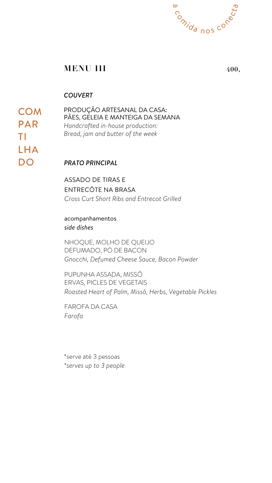**COM** PAR TI LHA DO

> ASSADO DE TIRAS E ENTRECÔTE NA BRASA *Cross Curt Short Ribs and Entrecot Grilled*

acompanhamentos *side dishes*



NHOQUE, MOLHO DE QUEIJO DEFUMADO, PÓ DE BACON *Gnocchi, Defumed Cheese Sauce, Bacon Powder*

PUPUNHA ASSADA, MISSÔ ERVAS, PICLES DE VEGETAIS *Roasted Heart of Palm, Missô, Herbs, Vegetable Pickles*

FAROFA DA CASA *Farofa*

\*serve até 3 pessoas *\*serves up to 3 people*

## **MENU III 400,**

### *PRATO PRINCIPAL*

PRODUÇÃO ARTESANAL DA CASA: PÃES, GELEIA E MANTEIGA DA SEMANA *Handcrafted in-house production: Bread, jam and butter of the week*

### *COUVERT*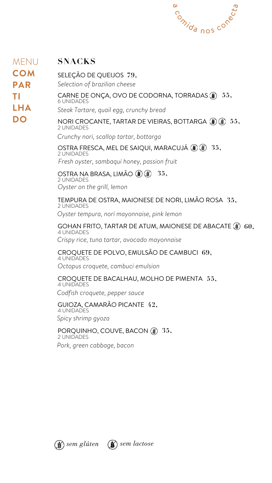### NORI CROCANTE, TARTAR DE VIEIRAS, BOTTARGA **55,** 2 UNIDADES

## SELEÇÃO DE QUEIJOS **79,**

### GOHAN FRITO, TARTAR DE ATUM, MAIONESE DE ABACATE **60,** 4 UNIDADES

OSTRA FRESCA, MEL DE SAIQUI, MARACUJÁ **35,** 2 UNIDADES *Fresh oyster, sambaqui honey, passion fruit*

#### OSTRA NA BRASA, LIMÃO (1) (1) 2 UNIDADES *Oyster on the grill, lemon* **35,**

# CARNE DE ONÇA, OVO DE CODORNA, TORRADAS **55,**

### PORQUINHO, COUVE, BACON **35,** 2 UNIDADES

TEMPURA DE OSTRA, MAIONESE DE NORI, LIMÃO ROSA **35,** 2 UNIDADES *Oyster tempura, nori mayonnaise, pink lemon*

*Selection of brazilian cheese*

## 6 UNIDADES **SNACKS** MENU **COM PAR TI LHA DO**

*Steak Tartare, quail egg, crunchy bread*





*Crunchy nori, scallop tartar, bottarga*

#### CROQUETE DE POLVO, EMULSÃO DE CAMBUCI 4 UNIDADES **69,**

GUIOZA, CAMARÃO PICANTE **42,** 4 UNIDADES *Spicy shrimp gyoza*

#### CROQUETE DE BACALHAU, MOLHO DE PIMENTA 4 UNIDADES **55,**

*Crispy rice, tuna tartar, avocado mayonnaise*

*Octopus croquete, cambuci emulsion*

*Codfish croquete, pepper sauce*

*Pork, green cabbage, bacon*

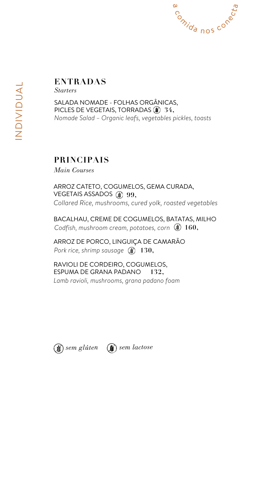## **PRINCIPAIS**

*Main Courses*

ARROZ CATETO, COGUMELOS, GEMA CURADA, VEGETAIS ASSADOS **99,** *Collared Rice, mushrooms, cured yolk, roasted vegetables*

BACALHAU, CREME DE COGUMELOS, BATATAS, MILHO *Codfish, mushroom cream, potatoes, corn* **160,**

ARROZ DE PORCO, LINGUIÇA DE CAMARÃO *Pork rice, shrimp sausage* **130,**

RAVIOLI DE CORDEIRO, COGUMELOS, ESPUMA DE GRANA PADANO *Lamb ravioli, mushrooms, grana padano foam* **132,**





## **ENTRADAS**

SALADA NOMADE - FOLHAS ORGÂNICAS, PICLES DE VEGETAIS, TORRADAS **34,** *Nomade Salad – Organic leafs, vegetables pickles, toasts*

*Starters*